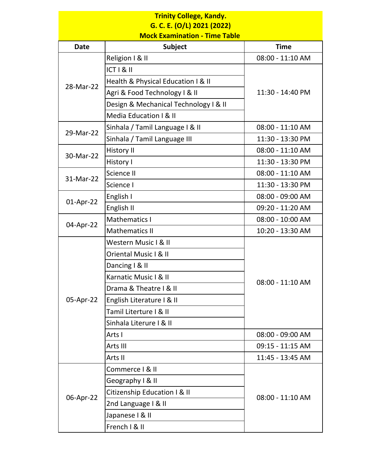## **G. C. E. (O/L) 2021 (2022) Trinity College, Kandy.**

**Mock Examination - Time Table** 

| <b>Date</b> | <b>Subject</b>                        | <b>Time</b>      |
|-------------|---------------------------------------|------------------|
| 28-Mar-22   | Religion I & II                       | 08:00 - 11:10 AM |
|             | $ CT $ & $ $                          |                  |
|             | Health & Physical Education I & II    | 11:30 - 14:40 PM |
|             | Agri & Food Technology I & II         |                  |
|             | Design & Mechanical Technology I & II |                  |
|             | Media Education I & II                |                  |
| 29-Mar-22   | Sinhala / Tamil Language I & II       | 08:00 - 11:10 AM |
|             | Sinhala / Tamil Language III          | 11:30 - 13:30 PM |
| 30-Mar-22   | <b>History II</b>                     | 08:00 - 11:10 AM |
|             | History I                             | 11:30 - 13:30 PM |
| 31-Mar-22   | Science II                            | 08:00 - 11:10 AM |
|             | Science I                             | 11:30 - 13:30 PM |
| 01-Apr-22   | English I                             | 08:00 - 09:00 AM |
|             | English II                            | 09:20 - 11:20 AM |
| 04-Apr-22   | Mathematics I                         | 08:00 - 10:00 AM |
|             | <b>Mathematics II</b>                 | 10:20 - 13:30 AM |
| 05-Apr-22   | Western Music I & II                  | 08:00 - 11:10 AM |
|             | Oriental Music I & II                 |                  |
|             | Dancing I & II                        |                  |
|             | Karnatic Music I & II                 |                  |
|             | Drama & Theatre I & III               |                  |
|             | English Literature I & II             |                  |
|             | Tamil Literture I & II                |                  |
|             | Sinhala Literure I & II               |                  |
|             | Arts I                                | 08:00 - 09:00 AM |
|             | Arts III                              | 09:15 - 11:15 AM |
|             | Arts II                               | 11:45 - 13:45 AM |
| 06-Apr-22   | Commerce I & II                       | 08:00 - 11:10 AM |
|             | Geography I & II                      |                  |
|             | Citizenship Education I & II          |                  |
|             | 2nd Language   & II                   |                  |
|             | Japanese I & II                       |                  |
|             | French I & II                         |                  |